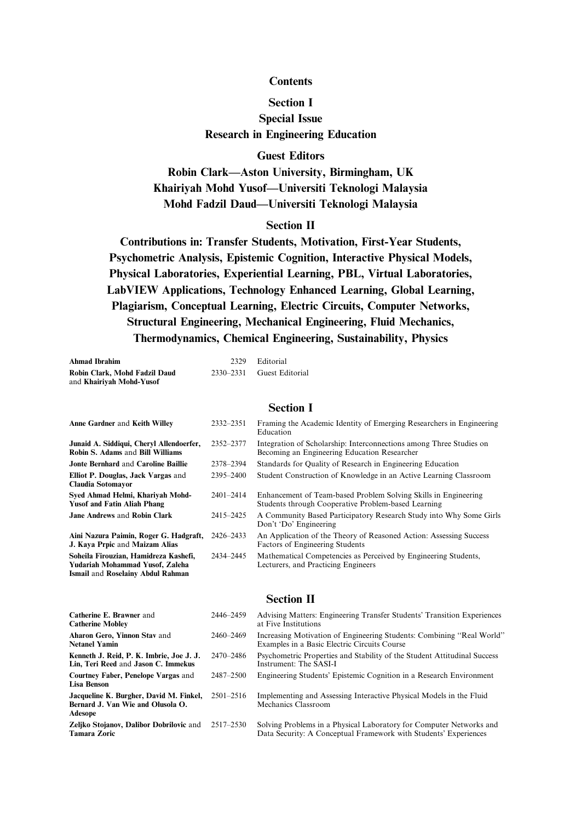## **Contents**

## **Section I**

**Special Issue Research in Engineering Education**

### **Guest Editors**

**Robin Clark—Aston University, Birmingham, UK Khairiyah Mohd Yusof—Universiti Teknologi Malaysia Mohd Fadzil Daud—Universiti Teknologi Malaysia**

# **Section II**

**Contributions in: Transfer Students, Motivation, First-Year Students, Psychometric Analysis, Epistemic Cognition, Interactive Physical Models, Physical Laboratories, Experiential Learning, PBL, Virtual Laboratories, LabVIEW Applications, Technology Enhanced Learning, Global Learning, Plagiarism, Conceptual Learning, Electric Circuits, Computer Networks, Structural Engineering, Mechanical Engineering, Fluid Mechanics, Thermodynamics, Chemical Engineering, Sustainability, Physics**

| Ahmad Ibrahim                 |           | 2329 Editorial  |
|-------------------------------|-----------|-----------------|
| Robin Clark, Mohd Fadzil Daud | 2330–2331 | Guest Editorial |
| and Khairivah Mohd-Yusof      |           |                 |

### **Section I**

| Anne Gardner and Keith Willey                                                                                 | 2332-2351     | Framing the Academic Identity of Emerging Researchers in Engineering<br>Education                                      |
|---------------------------------------------------------------------------------------------------------------|---------------|------------------------------------------------------------------------------------------------------------------------|
| Junaid A. Siddiqui, Cheryl Allendoerfer,<br>Robin S. Adams and Bill Williams                                  | 2352-2377     | Integration of Scholarship: Interconnections among Three Studies on<br>Becoming an Engineering Education Researcher    |
| Jonte Bernhard and Caroline Baillie                                                                           | 2378-2394     | Standards for Quality of Research in Engineering Education                                                             |
| Elliot P. Douglas, Jack Vargas and<br>Claudia Sotomayor                                                       | 2395–2400     | Student Construction of Knowledge in an Active Learning Classroom                                                      |
| Sved Ahmad Helmi, Kharivah Mohd-<br><b>Yusof and Fatin Aliah Phang</b>                                        | $2401 - 2414$ | Enhancement of Team-based Problem Solving Skills in Engineering<br>Students through Cooperative Problem-based Learning |
| Jane Andrews and Robin Clark                                                                                  | 2415-2425     | A Community Based Participatory Research Study into Why Some Girls<br>Don't 'Do' Engineering                           |
| Aini Nazura Paimin, Roger G. Hadgraft,<br>J. Kava Prpic and Maizam Alias                                      | 2426–2433     | An Application of the Theory of Reasoned Action: Assessing Success<br>Factors of Engineering Students                  |
| Soheila Firouzian, Hamidreza Kashefi,<br>Yudariah Mohammad Yusof, Zaleha<br>Ismail and Roselainy Abdul Rahman | 2434-2445     | Mathematical Competencies as Perceived by Engineering Students,<br>Lecturers, and Practicing Engineers                 |

## **Section II**

| Catherine E. Brawner and<br><b>Catherine Mobley</b>                                     | 2446-2459     | Advising Matters: Engineering Transfer Students' Transition Experiences<br>at Five Institutions                                         |
|-----------------------------------------------------------------------------------------|---------------|-----------------------------------------------------------------------------------------------------------------------------------------|
| Aharon Gero, Yinnon Stav and<br><b>Netanel Yamin</b>                                    | 2460-2469     | Increasing Motivation of Engineering Students: Combining "Real World"<br>Examples in a Basic Electric Circuits Course                   |
| Kenneth J. Reid, P. K. Imbrie, Joe J. J.<br>Lin, Teri Reed and Jason C. Immekus         | 2470–2486     | Psychometric Properties and Stability of the Student Attitudinal Success<br>Instrument: The SASI-I                                      |
| Courtney Faber, Penelope Vargas and<br><b>Lisa Benson</b>                               | 2487-2500     | Engineering Students' Epistemic Cognition in a Research Environment                                                                     |
| Jacqueline K. Burgher, David M. Finkel,<br>Bernard J. Van Wie and Olusola O.<br>Adesope | $2501 - 2516$ | Implementing and Assessing Interactive Physical Models in the Fluid<br>Mechanics Classroom                                              |
| <b>Zeliko Stojanov, Dalibor Dobrilovic</b> and<br><b>Tamara Zoric</b>                   | 2517-2530     | Solving Problems in a Physical Laboratory for Computer Networks and<br>Data Security: A Conceptual Framework with Students' Experiences |